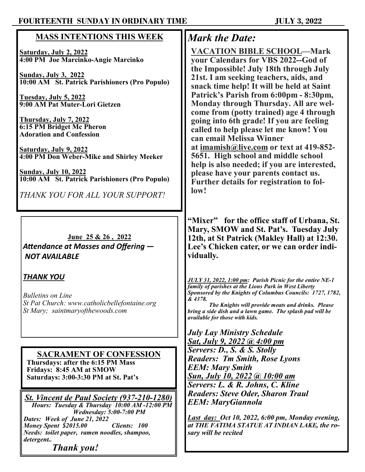## **FOURTEENTH SUNDAY IN ORDINARY TIME JULY 3, 2022**

| <b>MASS INTENTIONS THIS WEEK</b>                                                                                                                        | <b>Mark the Date:</b>                                                                                                                                                                                                     |
|---------------------------------------------------------------------------------------------------------------------------------------------------------|---------------------------------------------------------------------------------------------------------------------------------------------------------------------------------------------------------------------------|
| <b>Saturday, July 2, 2022</b><br>4:00 PM Joe Marcinko-Angie Marcinko                                                                                    | <b>VACATION BIBLE SCHOOL-Mark</b><br>your Calendars for VBS 2022--God of<br>the Impossible! July 18th through July                                                                                                        |
| <b>Sunday, July 3, 2022</b><br>10:00 AM St. Patrick Parishioners (Pro Populo)                                                                           | 21st. I am seeking teachers, aids, and<br>snack time help! It will be held at Saint<br>Patrick's Parish from 6:00pm - 8:30pm,                                                                                             |
| Tuesday, July 5, 2022<br>9:00 AM Pat Muter-Lori Gietzen                                                                                                 | Monday through Thursday. All are wel-<br>come from (potty trained) age 4 through                                                                                                                                          |
| Thursday, July 7, 2022<br><b>6:15 PM Bridget Mc Pheron</b><br><b>Adoration and Confession</b>                                                           | going into 6th grade! If you are feeling<br>called to help please let me know! You<br>can email Melissa Winner                                                                                                            |
| <u>Saturday, July 9, 2022</u><br>4:00 PM Don Weber-Mike and Shirley Meeker                                                                              | at imamish@live.com or text at 419-852-<br>5651. High school and middle school<br>help is also needed; if you are interested,                                                                                             |
| <b>Sunday, July 10, 2022</b><br>10:00 AM St. Patrick Parishioners (Pro Populo)                                                                          | please have your parents contact us.<br>Further details for registration to fol-                                                                                                                                          |
| THANK YOU FOR ALL YOUR SUPPORT!                                                                                                                         | low!                                                                                                                                                                                                                      |
| June 25 & 26, 2022<br>Attendance at Masses and Offering -<br><b>NOT AVAILABLE</b>                                                                       | "Mixer" for the office staff of Urbana, St.<br>Mary, SMOW and St. Pat's. Tuesday July<br>12th, at St Patrick (Makley Hall) at 12:30.<br>Lee's Chicken cater, or we can order indi-<br>vidually.                           |
| <b>THANK YOU</b>                                                                                                                                        | JULY 31, 2022, 1:00 pm: Parish Picnic for the entire NE-1<br>family of parishes at the Lions Park in West Liberty                                                                                                         |
| <b>Bulletins on Line</b><br>St Pat Church: www.catholicbellefontaine.org<br>St Mary; saintmaryofthewoods.com                                            | Sponsored by the Knights of Columbus Councils: 1727, 1782,<br>& 4378.<br>The Knights will provide meats and drinks. Please<br>bring a side dish and a lawn game. The splash pad will be<br>available for those with kids. |
|                                                                                                                                                         | <b>July Lay Ministry Schedule</b><br><b>Sat, July 9, 2022 @ 4:00 pm</b>                                                                                                                                                   |
| <b>SACRAMENT OF CONFESSION</b>                                                                                                                          | Servers: D., S. & S. Stolly<br><b>Readers: Tm Smith, Rose Lyons</b>                                                                                                                                                       |
| Thursdays: after the 6:15 PM Mass<br>Fridays: 8:45 AM at SMOW<br>Saturdays: 3:00-3:30 PM at St. Pat's                                                   | <b>EEM: Mary Smith</b><br><u>Sun, July 10, 2022 @ 10:00 am</u>                                                                                                                                                            |
| <b>St. Vincent de Paul Society (937-210-1280)</b><br>Hours: Tuesday & Thursday 10:00 AM-12:00 PM                                                        | Servers: L. & R. Johns, C. Kline<br><b>Readers: Steve Oder, Sharon Traul</b><br><b>EEM: MaryGiannola</b>                                                                                                                  |
| <b>Wednesday: 5:00-7:00 PM</b><br>Dates: Week of June 21, 2022<br>Money Spent \$2015.00<br>Clients: 100<br>Needs: toilet paper, ramen noodles, shampoo, | <b>Last day: Oct 10, 2022, 6:00 pm, Monday evening,</b><br>at THE FATIMA STATUE AT INDIAN LAKE, the ro-<br>sary will be recited                                                                                           |
| detergent<br><b>Thank</b> you!                                                                                                                          |                                                                                                                                                                                                                           |